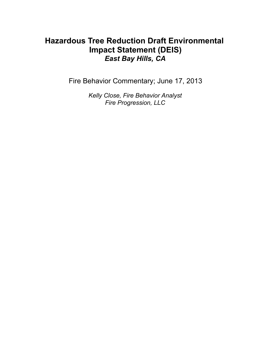# **Hazardous Tree Reduction Draft Environmental Impact Statement (DEIS)** *East Bay Hills, CA*

Fire Behavior Commentary; June 17, 2013

*Kelly Close, Fire Behavior Analyst Fire Progression, LLC*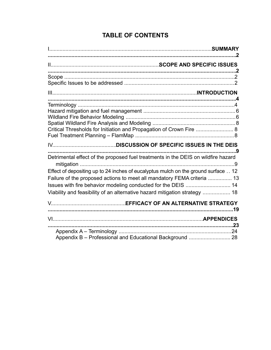## **TABLE OF CONTENTS**

| Critical Thresholds for Initiation and Propagation of Crown Fire  8                                                                                                                                                                                                                                          |  |
|--------------------------------------------------------------------------------------------------------------------------------------------------------------------------------------------------------------------------------------------------------------------------------------------------------------|--|
|                                                                                                                                                                                                                                                                                                              |  |
| Detrimental effect of the proposed fuel treatments in the DEIS on wildfire hazard                                                                                                                                                                                                                            |  |
| Effect of depositing up to 24 inches of eucalyptus mulch on the ground surface  12<br>Failure of the proposed actions to meet all mandatory FEMA criteria  13<br>Issues with fire behavior modeling conducted for the DEIS  14<br>Viability and feasibility of an alternative hazard mitigation strategy  18 |  |
|                                                                                                                                                                                                                                                                                                              |  |
|                                                                                                                                                                                                                                                                                                              |  |
| Appendix B - Professional and Educational Background  28                                                                                                                                                                                                                                                     |  |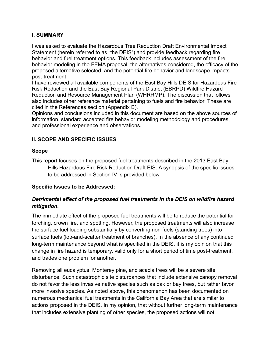## **I. SUMMARY**

I was asked to evaluate the Hazardous Tree Reduction Draft Environmental Impact Statement (herein referred to as "the DEIS") and provide feedback regarding fire behavior and fuel treatment options. This feedback includes assessment of the fire behavior modeling in the FEMA proposal, the alternatives considered, the efficacy of the proposed alternative selected, and the potential fire behavior and landscape impacts post-treatment.

I have reviewed all available components of the East Bay Hills DEIS for Hazardous Fire Risk Reduction and the East Bay Regional Park District (EBRPD) Wildfire Hazard Reduction and Resource Management Plan (WHRRMP). The discussion that follows also includes other reference material pertaining to fuels and fire behavior. These are cited in the References section (Appendix B).

Opinions and conclusions included in this document are based on the above sources of information, standard accepted fire behavior modeling methodology and procedures, and professional experience and observations.

## **II. SCOPE AND SPECIFIC ISSUES**

#### **Scope**

This report focuses on the proposed fuel treatments described in the 2013 East Bay Hills Hazardous Fire Risk Reduction Draft EIS. A synopsis of the specific issues to be addressed in Section IV is provided below.

## **Specific Issues to be Addressed:**

## *Detrimental effect of the proposed fuel treatments in the DEIS on wildfire hazard mitigation.*

The immediate effect of the proposed fuel treatments will be to reduce the potential for torching, crown fire, and spotting. However, the proposed treatments will also increase the surface fuel loading substantially by converting non-fuels (standing trees) into surface fuels (lop-and-scatter treatment of branches). In the absence of any continued long-term maintenance beyond what is specified in the DEIS, it is my opinion that this change in fire hazard is temporary, valid only for a short period of time post-treatment, and trades one problem for another.

Removing all eucalyptus, Monterey pine, and acacia trees will be a severe site disturbance. Such catastrophic site disturbances that include extensive canopy removal do not favor the less invasive native species such as oak or bay trees, but rather favor more invasive species. As noted above, this phenomenon has been documented on numerous mechanical fuel treatments in the California Bay Area that are similar to actions proposed in the DEIS. In my opinion, that without further long-term maintenance that includes extensive planting of other species, the proposed actions will not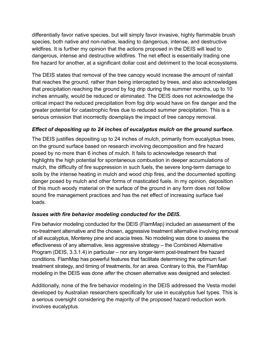differentially favor native species, but will simply favor invasive, highly flammable brush species, both native and non-native, leading to dangerous, intense, and destructive wildfires. It is further my opinion that the actions proposed in the DEIS will lead to dangerous, intense and destructive wildfires. The net effect is essentially trading one fire hazard for another, at a significant dollar cost and detriment to the local ecosystems.

The DEIS states that removal of the tree canopy would increase the amount of rainfall that reaches the ground, rather than being intercepted by trees, and also acknowledges that precipitation reaching the ground by fog drip during the summer months, up to 10 inches annually, would be reduced or eliminated. The DEIS does not acknowledge the critical impact the reduced precipitation from fog drip would have on fire danger and the greater potential for catastrophic fires due to reduced summer precipitation. This is a serious omission that incorrectly downplays the impact of tree canopy removal.

## *Effect of depositing up to 24 inches of eucalyptus mulch on the ground surface.*

The DEIS justifies depositing up to 24 inches of mulch, primarily from eucalyptus trees, on the ground surface based on research involving decomposition and fire hazard posed by no more than 6 inches of mulch. It fails to acknowledge research that highlights the high potential for spontaneous combustion in deeper accumulations of mulch, the difficulty of fire suppression in such fuels, the severe long-term damage to soils by the intense heating in mulch and wood chip fires, and the documented spotting danger posed by mulch and other forms of masticated fuels. In my opinion, deposition of this much woody material on the surface of the ground in any form does not follow sound fire management practices and has the net effect of increasing surface fuel loads.

## *Issues with fire behavior modeling conducted for the DEIS.*

Fire behavior modeling conducted for the DEIS (FlamMap) included an assessment of the no-treatment alternative and the chosen, aggressive treatment alternative involving removal of all eucalyptus, Monterey pine and acacia trees. No modeling was done to assess the effectiveness of any alternative, less aggressive strategy – the Combined Alternative Program (DEIS, 3.3.1.4) in particular – nor any longer-term post-treatment fire hazard conditions. FlamMap has powerful features that facilitate determining the optimum fuel treatment strategy, and timing of treatments, for an area. Contrary to this, the FlamMap modeling in the DEIS was done *after* the chosen alternative was designed and selected.

Additionally, none of the fire behavior modeling in the DEIS addressed the Vesta model developed by Australian researchers specifically for use in eucalyptus fuel types. This is a serious oversight considering the majority of the proposed hazard reduction work involves eucalyptus.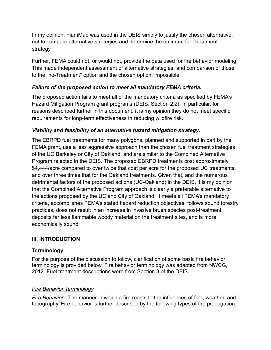In my opinion, FlamMap was used in the DEIS simply to justify the chosen alternative, not to compare alternative strategies and determine the optimum fuel treatment strategy.

Further, FEMA could not, or would not, provide the data used for fire behavior modeling. This made independent assessment of alternative strategies, and comparison of those to the "no-Treatment" option and the chosen option, impossible.

## *Failure of the proposed action to meet all mandatory FEMA criteria.*

The proposed action fails to meet all of the mandatory criteria as specified by FEMA's Hazard Mitigation Program grant programs (DEIS, Section 2.2). In particular, for reasons described further in this document, it is my opinion they do not meet specific requirements for long-term effectiveness in reducing wildfire risk.

## *Viability and feasibility of an alternative hazard mitigation strategy.*

The EBRPD fuel treatments for many polygons, planned and supported in part by the FEMA grant, use a less aggressive approach than the chosen fuel treatment strategies of the UC Berkeley or City of Oakland, and are similar to the Combined Alternative Program rejected in the DEIS. The proposed EBRPD treatments cost approximately \$4,444/acre compared to over twice that cost per acre for the proposed UC treatments, and over three times that for the Oakland treatments. Given that, and the numerous detrimental factors of the proposed actions (UC-Oakland) in the DEIS, it is my opinion that the Combined Alternative Program approach is clearly a preferable alternative to the actions proposed by the UC and City of Oakland. It meets all FEMA's mandatory criteria, accomplishes FEMA's stated hazard reduction objectives, follows sound forestry practices, does not result in an increase in invasive brush species post-treatment, deposits far less flammable woody material on the treatment sites, and is more economically sound.

## **III. INTRODUCTION**

## **Terminology**

For the purpose of the discussion to follow, clarification of some basic fire behavior terminology is provided below. Fire behavior terminology was adapted from NWCG, 2012. Fuel treatment descriptions were from Section 3 of the DEIS.

## *Fire Behavior Terminology*

*Fire Behavior -* The manner in which a fire reacts to the influences of fuel, weather, and topography. Fire behavior is further described by the following types of fire propagation: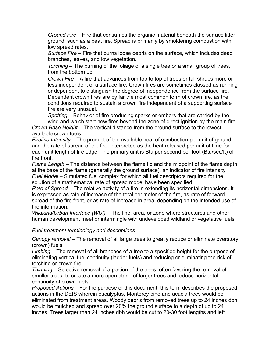*Ground Fire –* Fire that consumes the organic material beneath the surface litter ground, such as a peat fire. Spread is primarily by smoldering combustion with low spread rates.

*Surface Fire –* Fire that burns loose debris on the surface, which includes dead branches, leaves, and low vegetation.

*Torching –* The burning of the foliage of a single tree or a small group of trees, from the bottom up.

*Crown Fire –* A fire that advances from top to top of trees or tall shrubs more or less independent of a surface fire. Crown fires are sometimes classed as running or dependent to distinguish the degree of independence from the surface fire. Dependent crown fires are by far the most common form of crown fire, as the conditions required to sustain a crown fire independent of a supporting surface fire are very unusual.

*Spotting –* Behavior of fire producing sparks or embers that are carried by the wind and which start new fires beyond the zone of direct ignition by the main fire.

*Crown Base Height –* The vertical distance from the ground surface to the lowest available crown fuels.

*Fireline Intensity –* The product of the available heat of combustion per unit of ground and the rate of spread of the fire, interpreted as the heat released per unit of time for each unit length of fire edge. The primary unit is Btu per second per foot (Btu/sec/ft) of fire front.

*Flame Length –* The distance between the flame tip and the midpoint of the flame depth at the base of the flame (generally the ground surface), an indicator of fire intensity. *Fuel Model –* Simulated fuel complex for which all fuel descriptors required for the solution of a mathematical rate of spread model have been specified.

*Rate of Spread –* The relative activity of a fire in extending its horizontal dimensions. It is expressed as rate of increase of the total perimeter of the fire, as rate of forward spread of the fire front, or as rate of increase in area, depending on the intended use of the information.

*Wildland/Urban Interface (WUI) –* The line, area, or zone where structures and other human development meet or intermingle with undeveloped wildland or vegetative fuels.

#### *Fuel treatment terminology and descriptions*

*Canopy removal* – The removal of all large trees to greatly reduce or eliminate overstory (crown) fuels.

*Limbing* – The removal of all branches of a tree to a specified height for the purpose of eliminating vertical fuel continuity (ladder fuels) and reducing or eliminating the risk of torching or crown fire.

*Thinning* – Selective removal of a portion of the trees, often favoring the removal of smaller trees, to create a more open stand of larger trees and reduce horizontal continuity of crown fuels.

*Proposed Actions* – For the purpose of this document, this term describes the proposed actions in the DEIS wherein eucalyptus, Monterey pine and acacia trees would be eliminated from treatment areas. Woody debris from removed trees up to 24 inches dbh would be mulched and spread over 20% the ground surface to a depth of up to 24 inches. Trees larger than 24 inches dbh would be cut to 20-30 foot lengths and left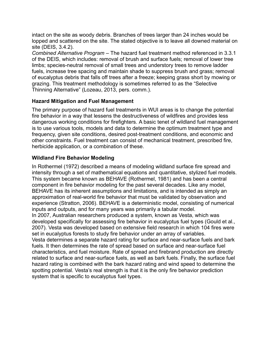intact on the site as woody debris. Branches of trees larger than 24 inches would be lopped and scattered on the site. The stated objective is to leave all downed material on site (DEIS, 3.4.2).

*Combined Alternative Program* – The hazard fuel treatment method referenced in 3.3.1 of the DEIS, which includes: removal of brush and surface fuels; removal of lower tree limbs; species-neutral removal of small trees and understory trees to remove ladder fuels, increase tree spacing and maintain shade to suppress brush and grass; removal of eucalyptus debris that falls off trees after a freeze; keeping grass short by mowing or grazing. This treatment methodology is sometimes referred to as the "Selective Thinning Alternative" (Lozeau, 2013, pers. comm.).

## **Hazard Mitigation and Fuel Management**

The primary purpose of hazard fuel treatments in WUI areas is to change the potential fire behavior in a way that lessens the destructiveness of wildfires and provides less dangerous working conditions for firefighters. A basic tenet of wildland fuel management is to use various tools, models and data to determine the optimum treatment type and frequency, given site conditions, desired post-treatment conditions, and economic and other constraints. Fuel treatment can consist of mechanical treatment, prescribed fire, herbicide application, or a combination of these.

## **Wildland Fire Behavior Modeling**

In Rothermel (1972) described a means of modeling wildland surface fire spread and intensity through a set of mathematical equations and quantitative, stylized fuel models. This system became known as BEHAVE (Rothermel, 1981) and has been a central component in fire behavior modeling for the past several decades. Like any model, BEHAVE has its inherent assumptions and limitations, and is intended as simply an approximation of real-world fire behavior that must be validated by observation and experience (Stratton, 2006). BEHAVE is a deterministic model, consisting of numerical inputs and outputs, and for many years was primarily a tabular model. In 2007, Australian researchers produced a system, known as Vesta, which was developed specifically for assessing fire behavior in eucalyptus fuel types (Gould et al., 2007). Vesta was developed based on extensive field research in which 104 fires were set in eucalyptus forests to study fire behavior under an array of variables. Vesta determines a separate hazard rating for surface and near-surface fuels and bark fuels. It then determines the rate of spread based on surface and near-surface fuel characteristics, and fuel moisture. Rate of spread and firebrand production are directly related to surface and near-surface fuels, as well as bark fuels. Finally, the surface fuel hazard rating is combined with the bark hazard rating and wind speed to determine the spotting potential. Vesta's real strength is that it is the only fire behavior prediction system that is specific to eucalyptus fuel types.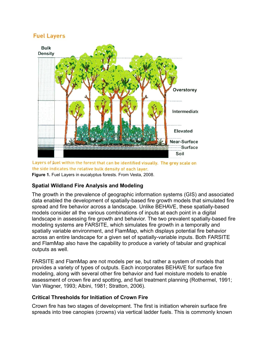## **Fuel Layers**



Layers of fuel within the forest that can be identified visually. The grey scale on the side indicates the relative bulk density of each layer. **Figure 1.** Fuel Layers in eucalyptus forests. From Vesta, 2008.

## **Spatial Wildland Fire Analysis and Modeling**

The growth in the prevalence of geographic information systems (GIS) and associated data enabled the development of spatially-based fire growth models that simulated fire spread and fire behavior across a landscape. Unlike BEHAVE, these spatially-based models consider all the various combinations of inputs at each point in a digital landscape in assessing fire growth and behavior. The two prevalent spatially-based fire modeling systems are FARSITE, which simulates fire growth in a temporally and spatially variable environment, and FlamMap, which displays potential fire behavior across an entire landscape for a given set of spatially-variable inputs. Both FARSITE and FlamMap also have the capability to produce a variety of tabular and graphical outputs as well.

FARSITE and FlamMap are not models per se, but rather a system of models that provides a variety of types of outputs. Each incorporates BEHAVE for surface fire modeling, along with several other fire behavior and fuel moisture models to enable assessment of crown fire and spotting, and fuel treatment planning (Rothermel, 1991; Van Wagner, 1993; Albini, 1981; Stratton, 2006).

## **Critical Thresholds for Initiation of Crown Fire**

Crown fire has two stages of development. The first is initiation wherein surface fire spreads into tree canopies (crowns) via vertical ladder fuels. This is commonly known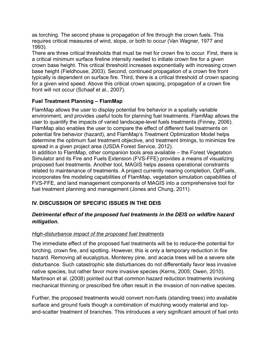as torching. The second phase is propagation of fire through the crown fuels. This requires critical measures of wind, slope, or both to occur (Van Wagner, 1977 and 1993).

There are three critical thresholds that must be met for crown fire to occur. First, there is a critical minimum surface fireline intensity needed to initiate crown fire for a given crown base height. This critical threshold increases exponentially with increasing crown base height (Fieldhouse, 2003). Second, continued propagation of a crown fire front typically is dependent on surface fire. Third, there is a critical threshold of crown spacing for a given wind speed. Above this critical crown spacing, propagation of a crown fire front will not occur (Schaaf et al., 2007).

## **Fuel Treatment Planning – FlamMap**

FlamMap allows the user to display potential fire behavior in a spatially variable environment, and provides useful tools for planning fuel treatments. FlamMap allows the user to quantify the impacts of varied landscape-level fuels treatments (Finney, 2006). FlamMap also enables the user to compare the effect of different fuel treatments on potential fire behavior (hazard), and FlamMap's Treatment Optimization Model helps determine the optimum fuel treatment objective, and treatment timings, to minimize fire spread in a given project area (USDA Forest Service, 2012).

In addition to FlamMap, other companion tools area available – the Forest Vegetation Simulator and its Fire and Fuels Extension (FVS-FFE) provides a means of visualizing proposed fuel treatments. Another tool, MAGIS helps assess operational constraints related to maintenance of treatments. A project currently nearing completion, OptFuels, incorporates fire modeling capabilities of FlamMap, vegetation simulation capabilities of FVS-FFE, and land management components of MAGIS into a comprehensive tool for fuel treatment planning and management (Jones and Chung, 2011).

## **IV. DISCUSSION OF SPECIFIC ISSUES IN THE DEIS**

## *Detrimental effect of the proposed fuel treatments in the DEIS on wildfire hazard mitigation.*

## *High-disturbance impact of the proposed fuel treatments*

The immediate effect of the proposed fuel treatments will be to reduce the potential for torching, crown fire, and spotting. However, this is only a temporary reduction in fire hazard. Removing all eucalyptus, Monterey pine, and acacia trees will be a severe site disturbance. Such catastrophic site disturbances do not differentially favor less invasive native species, but rather favor more invasive species (Kerns, 2005; Owen, 2010). Martinson et al. (2008) pointed out that common hazard reduction treatments involving mechanical thinning or prescribed fire often result in the invasion of non-native species.

Further, the proposed treatments would convert non-fuels (standing trees) into available surface and ground fuels though a combination of mulching woody material and lopand-scatter treatment of branches. This introduces a very significant amount of fuel onto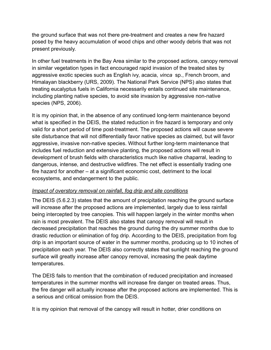the ground surface that was not there pre-treatment and creates a new fire hazard posed by the heavy accumulation of wood chips and other woody debris that was not present previously.

In other fuel treatments in the Bay Area similar to the proposed actions, canopy removal in similar vegetation types in fact encouraged rapid invasion of the treated sites by aggressive exotic species such as English ivy, acacia, *vinca* sp., French broom, and Himalayan blackberry (URS, 2009). The National Park Service (NPS) also states that treating eucalyptus fuels in California necessarily entails continued site maintenance, including planting native species, to avoid site invasion by aggressive non-native species (NPS, 2006).

It is my opinion that, in the absence of any continued long-term maintenance beyond what is specified in the DEIS, the stated reduction in fire hazard is temporary and only valid for a short period of time post-treatment. The proposed actions will cause severe site disturbance that will not differentially favor native species as claimed, but will favor aggressive, invasive non-native species. Without further long-term maintenance that includes fuel reduction and extensive planting, the proposed actions will result in development of brush fields with characteristics much like native chaparral, leading to dangerous, intense, and destructive wildfires. The net effect is essentially trading one fire hazard for another – at a significant economic cost, detriment to the local ecosystems, and endangerment to the public.

## *Impact of overstory removal on rainfall, fog drip and site conditions*

The DEIS (5.6.2.3) states that the amount of precipitation reaching the ground surface will increase after the proposed actions are implemented, largely due to less rainfall being intercepted by tree canopies. This will happen largely in the winter months when rain is most prevalent. The DEIS also states that canopy removal will result in decreased precipitation that reaches the ground during the dry summer months due to drastic reduction or elimination of fog drip. According to the DEIS, precipitation from fog drip is an important source of water in the summer months, producing up to 10 inches of precipitation each year. The DEIS also correctly states that sunlight reaching the ground surface will greatly increase after canopy removal, increasing the peak daytime temperatures.

The DEIS fails to mention that the combination of reduced precipitation and increased temperatures in the summer months will increase fire danger on treated areas. Thus, the fire danger will actually increase after the proposed actions are implemented. This is a serious and critical omission from the DEIS.

It is my opinion that removal of the canopy will result in hotter, drier conditions on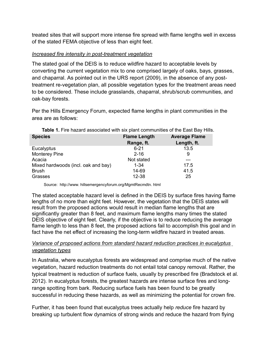treated sites that will support more intense fire spread with flame lengths well in excess of the stated FEMA objective of less than eight feet.

#### *Increased fire intensity in post-treatment vegetation*

The stated goal of the DEIS is to reduce wildfire hazard to acceptable levels by converting the current vegetation mix to one comprised largely of oaks, bays, grasses, and chaparral. As pointed out in the URS report (2009), in the absence of any posttreatment re-vegetation plan, all possible vegetation types for the treatment areas need to be considered. These include grasslands, chaparral, shrub/scrub communities, and oak-bay forests.

Per the Hills Emergency Forum, expected flame lengths in plant communities in the area are as follows:

| <b>Species</b>                      | <b>Flame Length</b> | <b>Average Flame</b> |
|-------------------------------------|---------------------|----------------------|
|                                     | Range, ft.          | Length, ft.          |
| Eucalyptus                          | $6 - 21$            | 13.5                 |
| <b>Monterey Pine</b>                | $2 - 16$            | 9                    |
| Acacia                              | Not stated          |                      |
| Mixed hardwoods (incl. oak and bay) | $1 - 34$            | 17.5                 |
| <b>Brush</b>                        | 14-69               | 41.5                 |
| Grasses                             | 12-38               | 25                   |

| <b>Table 1.</b> Fire hazard associated with six plant communities of the East Bay Hills. |  |  |  |  |  |
|------------------------------------------------------------------------------------------|--|--|--|--|--|
|------------------------------------------------------------------------------------------|--|--|--|--|--|

Source: http://www. hillsemergencyforum.org/MgmtRecmdtn. html

The stated acceptable hazard level is defined in the DEIS by surface fires having flame lengths of no more than eight feet. However, the vegetation that the DEIS states will result from the proposed actions would result in median flame lengths that are significantly greater than 8 feet, and maximum flame lengths many times the stated DEIS objective of eight feet. Clearly, if the objective is to reduce reducing the average flame length to less than 8 feet, the proposed actions fail to accomplish this goal and in fact have the net effect of increasing the long-term wildfire hazard in treated areas.

## *Variance of proposed actions from standard hazard reduction practices in eucalyptus vegetation types*

In Australia, where eucalyptus forests are widespread and comprise much of the native vegetation, hazard reduction treatments do not entail total canopy removal. Rather, the typical treatment is reduction of surface fuels, usually by prescribed fire (Bradstock et al. 2012). In eucalyptus forests, the greatest hazards are intense surface fires and longrange spotting from bark. Reducing surface fuels has been found to be greatly successful in reducing these hazards, as well as minimizing the potential for crown fire.

Further, it has been found that eucalyptus trees actually help *reduce* fire hazard by breaking up turbulent flow dynamics of strong winds and reduce the hazard from flying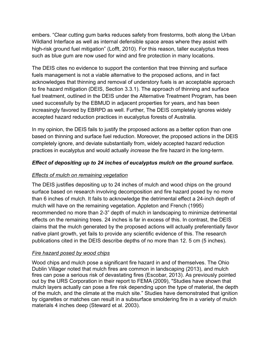embers. "Clear cutting gum barks reduces safety from firestorms, both along the Urban Wildland Interface as well as internal defensible space areas where they assist with high-risk ground fuel mitigation" (Lofft, 2010). For this reason, taller eucalyptus trees such as blue gum are now used for wind and fire protection in many locations.

The DEIS cites no evidence to support the contention that tree thinning and surface fuels management is not a viable alternative to the proposed actions, and in fact acknowledges that thinning and removal of understory fuels is an acceptable approach to fire hazard mitigation (DEIS, Section 3.3.1). The approach of thinning and surface fuel treatment, outlined in the DEIS under the Alternative Treatment Program, has been used successfully by the EBMUD in adjacent properties for years, and has been increasingly favored by EBRPD as well. Further, The DEIS completely ignores widely accepted hazard reduction practices in eucalyptus forests of Australia.

In my opinion, the DEIS fails to justify the proposed actions as a better option than one based on thinning and surface fuel reduction. Moreover, the proposed actions in the DEIS completely ignore, and deviate substantially from, widely accepted hazard reduction practices in eucalyptus and would actually *increase* the fire hazard in the long-term.

## *Effect of depositing up to 24 inches of eucalyptus mulch on the ground surface.*

## *Effects of mulch on remaining vegetation*

The DEIS justifies depositing up to 24 inches of mulch and wood chips on the ground surface based on research involving decomposition and fire hazard posed by no more than 6 inches of mulch. It fails to acknowledge the detrimental effect a 24-inch depth of mulch will have on the remaining vegetation. Appleton and French (1995) recommended no more than 2-3" depth of mulch in landscaping to minimize detrimental effects on the remaining trees. 24 inches is far in excess of this. In contrast, the DEIS claims that the mulch generated by the proposed actions will actually preferentially favor native plant growth, yet fails to provide any scientific evidence of this. The research publications cited in the DEIS describe depths of no more than 12. 5 cm (5 inches).

## *Fire hazard posed by wood chips*

Wood chips and mulch pose a significant fire hazard in and of themselves. The Ohio Dublin Villager noted that mulch fires are common in landscaping (2013), and mulch fires can pose a serious risk of devastating fires (Escobar, 2013). As previously pointed out by the URS Corporation in their report to FEMA (2009), "Studies have shown that mulch layers actually can pose a fire risk depending upon the type of material, the depth of the mulch, and the climate at the mulch site." Studies have demonstrated that ignition by cigarettes or matches can result in a subsurface smoldering fire in a variety of mulch materials 4 inches deep (Steward et al. 2003).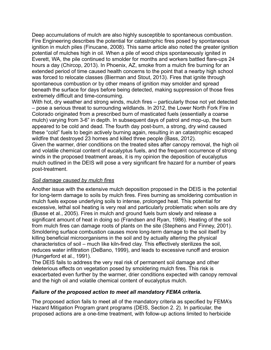Deep accumulations of mulch are also highly susceptible to spontaneous combustion. Fire Engineering describes the potential for catastrophic fires posed by spontaneous ignition in mulch piles (Finucane, 2008). This same article also noted the greater ignition potential of mulches high in oil. When a pile of wood chips spontaneously ignited in Everett, WA, the pile continued to smolder for months and workers battled flare-ups 24 hours a day (Chircop, 2013). In Phoenix, AZ, smoke from a mulch fire burning for an extended period of time caused health concerns to the point that a nearby high school was forced to relocate classes (Bierman and Stout, 2013). Fires that ignite through spontaneous combustion or by other means of ignition may smolder and spread beneath the surface for days before being detected, making suppression of those fires extremely difficult and time-consuming.

With hot, dry weather and strong winds, mulch fires – particularly those not yet detected – pose a serious threat to surrounding wildlands. In 2012, the Lower North Fork Fire in Colorado originated from a prescribed burn of masticated fuels (essentially a coarse mulch) varying from 3-6" in depth. In subsequent days of patrol and mop-up, the burn appeared to be cold and dead. The fourth day post-burn, a strong, dry wind caused these "cold" fuels to begin actively burning again, resulting in an catastrophic escaped wildfire that destroyed 23 homes and killed three people (Bass, 2012). Given the warmer, drier conditions on the treated sites after canopy removal, the high oil and volatile chemical content of eucalyptus fuels, and the frequent occurrence of strong winds in the proposed treatment areas, it is my opinion the deposition of eucalyptus

mulch outlined in the DEIS will pose a very significant fire hazard for a number of years post-treatment.

## *Soil damage caused by mulch fires*

Another issue with the extensive mulch deposition proposed in the DEIS is the potential for long-term damage to soils by mulch fires. Fires burning as smoldering combustion in mulch fuels expose underlying soils to intense, prolonged heat. This potential for excessive, lethal soil heating is very real and particularly problematic when soils are dry (Busse et al., 2005). Fires in mulch and ground fuels burn slowly and release a significant amount of heat in doing so (Frandsen and Ryan, 1986). Heating of the soil from mulch fires can damage roots of plants on the site (Stephens and Finney, 2001). Smoldering surface combustion causes more long-term damage to the soil itself by killing beneficial microorganisms in the soil and by actually altering the physical characteristics of soil – much like kiln-fired clay. This effectively sterilizes the soil, reduces water infiltration (DeBano, 1999), and leads to excessive runoff and erosion (Hungerford et al., 1991).

The DEIS fails to address the very real risk of permanent soil damage and other deleterious effects on vegetation posed by smoldering mulch fires. This risk is exacerbated even further by the warmer, drier conditions expected with canopy removal and the high oil and volatile chemical content of eucalyptus mulch.

#### *Failure of the proposed action to meet all mandatory FEMA criteria.*

The proposed action fails to meet all of the mandatory criteria as specified by FEMA's Hazard Mitigation Program grant programs (DEIS, Section 2. 2). In particular, the proposed actions are a one-time treatment, with follow-up actions limited to herbicide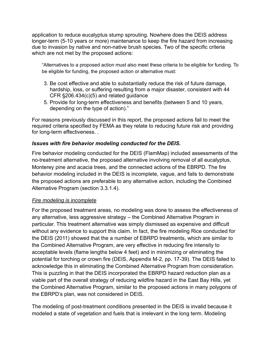application to reduce eucalyptus stump sprouting. Nowhere does the DEIS address longer-term (5-10 years or more) maintenance to keep the fire hazard from increasing due to invasion by native and non-native brush species. Two of the specific criteria which are not met by the proposed actions:

"Alternatives to a proposed action must also meet these criteria to be eligible for funding. To be eligible for funding, the proposed action or alternative must:

- 3. Be cost effective and able to substantially reduce the risk of future damage, hardship, loss, or suffering resulting from a major disaster, consistent with 44 CFR §206.434(c)(5) and related guidance
- 5. Provide for long-term effectiveness and benefits (between 5 and 10 years, depending on the type of action)."

For reasons previously discussed in this report, the proposed actions fail to meet the required criteria specified by FEMA as they relate to reducing future risk and providing for long-term effectiveness. .

## *Issues with fire behavior modeling conducted for the DEIS.*

Fire behavior modeling conducted for the DEIS (FlamMap) included assessments of the no-treatment alternative, the proposed alternative involving removal of all eucalyptus, Monterey pine and acacia trees, and the connected actions of the EBRPD. The fire behavior modeling included in the DEIS is incomplete, vague, and fails to demonstrate the proposed actions are preferable to any alternative action, including the Combined Alternative Program (section 3.3.1.4).

## *Fire modeling is incomplete*

For the proposed treatment areas, no modeling was done to assess the effectiveness of any alternative, less aggressive strategy – the Combined Alternative Program in particular. This treatment alternative was simply dismissed as expensive and difficult without any evidence to support this claim. In fact, the fire modeling Rice conducted for the DEIS (2011) showed that the a number of EBRPD treatments, which are similar to the Combined Alternative Program, are very effective in reducing fire intensity to acceptable levels (flame lengths below 4 feet) and in minimizing or eliminating the potential for torching or crown fire (DEIS, Appendix M-2, pp. 17-39). The DEIS failed to acknowledge this in eliminating the Combined Alternative Program from consideration. This is puzzling in that the DEIS incorporated the EBRPD hazard reduction plan as a viable part of the overall strategy of reducing wildfire hazard in the East Bay Hills, yet the Combined Alternative Program, similar to the proposed actions in many polygons of the EBRPD's plan, was not considered in DEIS.

The modeling of post-treatment conditions presented in the DEIS is invalid because it modeled a state of vegetation and fuels that is irrelevant in the long term. Modeling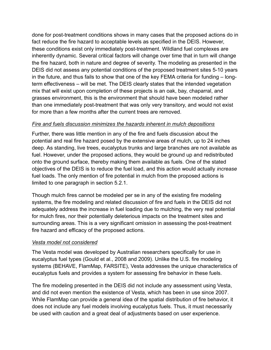done for post-treatment conditions shows in many cases that the proposed actions do in fact reduce the fire hazard to acceptable levels as specified in the DEIS. However, these conditions exist only immediately post-treatment. Wildland fuel complexes are inherently dynamic. Several critical factors will change over time that in turn will change the fire hazard, both in nature and degree of severity. The modeling as presented in the DEIS did not assess any potential conditions of the proposed treatment sites 5-10 years in the future, and thus fails to show that one of the key FEMA criteria for funding – longterm effectiveness – will be met. The DEIS clearly states that the intended vegetation mix that will exist upon completion of these projects is an oak, bay, chaparral, and grasses environment, this is the environment that should have been modeled rather than one immediately post-treatment that was only very transitory, and would not exist for more than a few months after the current trees are removed.

## *Fire and fuels discussion minimizes the hazards inherent in mulch depositions*

Further, there was little mention in any of the fire and fuels discussion about the potential and real fire hazard posed by the extensive areas of mulch, up to 24 inches deep. As standing, live trees, eucalyptus trunks and large branches are not available as fuel. However, under the proposed actions, they would be ground up and redistributed onto the ground surface, thereby making them available as fuels. One of the stated objectives of the DEIS is to reduce the fuel load, and this action would actually *increase* fuel loads. The only mention of fire potential in mulch from the proposed actions is limited to one paragraph in section 5.2.1.

Though mulch fires cannot be modeled per se in any of the existing fire modeling systems, the fire modeling and related discussion of fire and fuels in the DEIS did not adequately address the increase in fuel loading due to mulching, the very real potential for mulch fires, nor their potentially deleterious impacts on the treatment sites and surrounding areas. This is a very significant omission in assessing the post-treatment fire hazard and efficacy of the proposed actions.

## *Vesta model not considered*

The Vesta model was developed by Australian researchers specifically for use in eucalyptus fuel types (Gould et al., 2008 and 2009). Unlike the U.S. fire modeling systems (BEHAVE, FlamMap, FARSITE), Vesta addresses the unique characteristics of eucalyptus fuels and provides a system for assessing fire behavior in these fuels.

The fire modeling presented in the DEIS did not include any assessment using Vesta, and did not even mention the existence of Vesta, which has been in use since 2007. While FlamMap can provide a general idea of the spatial distribution of fire behavior, it does not include any fuel models involving eucalyptus fuels. Thus, it must necessarily be used with caution and a great deal of adjustments based on user experience.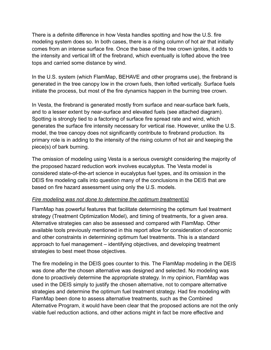There is a definite difference in how Vesta handles spotting and how the U.S. fire modeling system does so. In both cases, there is a rising column of hot air that initially comes from an intense surface fire. Once the base of the tree crown ignites, it adds to the intensity and vertical lift of the firebrand, which eventually is lofted above the tree tops and carried some distance by wind.

In the U.S. system (which FlamMap, BEHAVE and other programs use), the firebrand is generated in the tree canopy low in the crown fuels, then lofted vertically. Surface fuels initiate the process, but most of the fire dynamics happen in the burning tree crown.

In Vesta, the firebrand is generated mostly from surface and near-surface bark fuels, and to a lesser extent by near-surface and elevated fuels (see attached diagram). Spotting is strongly tied to a factoring of surface fire spread rate and wind, which generates the surface fire intensity necessary for vertical rise. However, unlike the U.S. model, the tree canopy does not significantly contribute to firebrand production. Its primary role is in adding to the intensity of the rising column of hot air and keeping the piece(s) of bark burning.

The omission of modeling using Vesta is a serious oversight considering the majority of the proposed hazard reduction work involves eucalyptus. The Vesta model is considered state-of-the-art science in eucalyptus fuel types, and its omission in the DEIS fire modeling calls into question many of the conclusions in the DEIS that are based on fire hazard assessment using only the U.S. models.

## *Fire modeling was not done to determine the optimum treatment(s)*

FlamMap has powerful features that facilitate determining the optimum fuel treatment strategy (Treatment Optimization Model), and timing of treatments, for a given area. Alternative strategies can also be assessed and compared with FlamMap. Other available tools previously mentioned in this report allow for consideration of economic and other constraints in determining optimum fuel treatments. This is a standard approach to fuel management – identifying objectives, and developing treatment strategies to best meet those objectives.

The fire modeling in the DEIS goes counter to this. The FlamMap modeling in the DEIS was done *after* the chosen alternative was designed and selected. No modeling was done to proactively determine the appropriate strategy. In my opinion, FlamMap was used in the DEIS simply to justify the chosen alternative, not to compare alternative strategies and determine the optimum fuel treatment strategy. Had fire modeling with FlamMap been done to assess alternative treatments, such as the Combined Alternative Program, it would have been clear that the proposed actions are not the only viable fuel reduction actions, and other actions might in fact be more effective and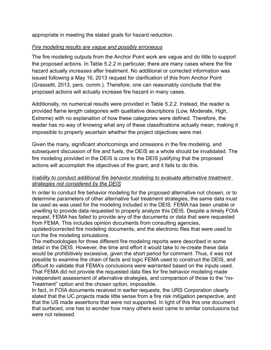appropriate in meeting the stated goals for hazard reduction.

## *Fire modeling results are vague and possibly erroneous*

The fire modeling outputs from the Anchor Point work are vague and do little to support the proposed actions. In Table 5.2.2 in particular, there are many cases where the fire hazard actually *increases* after treatment. No additional or corrected information was issued following a May 16, 2013 request for clarification of this from Anchor Point (Grassetti, 2013, pers. comm.). Therefore, one can reasonably conclude that the proposed actions will actually increase fire hazard in many cases.

Additionally, no numerical results were provided in Table 5.2.2. Instead, the reader is provided flame length categories with qualitative descriptions (Low, Moderate, High, Extreme) with no explanation of how these categories were defined. Therefore, the reader has no way of knowing what any of these classifications actually mean, making it impossible to properly ascertain whether the project objectives were met.

Given the many, significant shortcomings and omissions in the fire modeling, and subsequent discussion of fire and fuels, the DEIS as a whole should be invalidated. The fire modeling provided in the DEIS is core to the DEIS justifying that the proposed actions will accomplish the objectives of the grant, and it fails to do this.

#### *Inability to conduct additional fire behavior modeling to evaluate alternative treatment strategies not considered by the DEIS*

In order to conduct fire behavior modeling for the proposed alternative not chosen, or to determine parameters of other alternative fuel treatment strategies, the same data must be used as was used for the modeling included in the DEIS. FEMA has been unable or unwilling to provide data requested to properly analyze this DEIS. Despite a timely FOIA request, FEMA has failed to provide any of the documents or data that were requested from FEMA. This includes opinion documents from consulting agencies, updated/corrected fire modeling documents, and the electronic files that were used to run the fire modeling simulations.

The methodologies for three different fire modeling reports were described in some detail in the DEIS. However, the time and effort it would take to re-create these data would be prohibitively excessive, given the short period for comment. Thus, it was not possible to examine the chain of facts and logic FEMA used to construct the DEIS, and difficult to validate that FEMA's conclusions were warranted based on the inputs used. That FEMA did not provide the requested data files for fire behavior modeling made independent assessment of alternative strategies, and comparison of those to the "no-Treatment" option and the chosen option, impossible.

In fact, in FOIA documents received in earlier requests, the URS Corporation clearly stated that the UC projects made little sense from a fire risk mitigation perspective, and that the US made assertions that were not supported. In light of this this one document that surfaced, one has to wonder how many others exist came to similar conclusions but were not released.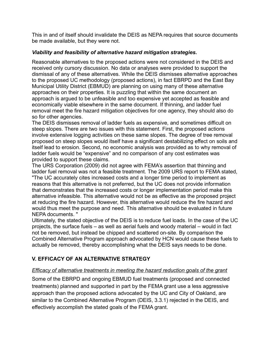This in and of itself should invalidate the DEIS as NEPA requires that source documents be made available, but they were not.

## *Viability and feasibility of alternative hazard mitigation strategies.*

Reasonable alternatives to the proposed actions were not considered in the DEIS and received only cursory discussion. No data or analyses were provided to support the dismissal of any of these alternatives. While the DEIS dismisses alternative approaches to the proposed UC methodology (proposed actions), in fact EBRPD and the East Bay Municipal Utility District (EBMUD) are planning on using many of these alternative approaches on their properties. It is puzzling that within the same document an approach is argued to be unfeasible and too expensive yet accepted as feasible and economically viable elsewhere in the same document. If thinning, and ladder fuel removal meet the fire hazard mitigation objectives for one agency, they should also do so for other agencies.

The DEIS dismisses removal of ladder fuels as expensive, and sometimes difficult on steep slopes. There are two issues with this statement. First, the proposed actions involve extensive logging activities on these same slopes. The degree of tree removal proposed on steep slopes would itself have a significant destabilizing effect on soils and itself lead to erosion. Second, no economic analysis was provided as to why removal of ladder fuels would be "expensive" and no comparison of any cost estimates was provided to support these claims.

The URS Corporation (2009) did not agree with FEMA's assertion that thinning and ladder fuel removal was not a feasible treatment. The 2009 URS report to FEMA stated, "The UC accurately cites increased costs and a longer time period to implement as reasons that this alternative is not preferred, but the UC does not provide information that demonstrates that the increased costs or longer implementation period make this alternative infeasible. This alternative would not be as effective as the proposed project at reducing the fire hazard. However, this alternative would reduce the fire hazard and would thus meet the purpose and need. This alternative should be evaluated in future NEPA documents. "

Ultimately, the stated objective of the DEIS is to reduce fuel loads. In the case of the UC projects, the surface fuels – as well as aerial fuels and woody material – would in fact not be removed, but instead be chipped and scattered on-site. By comparison the Combined Alternative Program approach advocated by HCN would cause these fuels to actually be removed, thereby accomplishing what the DEIS says needs to be done.

## **V. EFFICACY OF AN ALTERNATIVE STRATEGY**

## *Efficacy of alternative treatments in meeting the hazard reduction goals of the grant*

Some of the EBRPD and ongoing EBMUD fuel treatments (proposed and connected treatments) planned and supported in part by the FEMA grant use a less aggressive approach than the proposed actions advocated by the UC and City of Oakland, are similar to the Combined Alternative Program (DEIS, 3.3.1) rejected in the DEIS, and effectively accomplish the stated goals of the FEMA grant.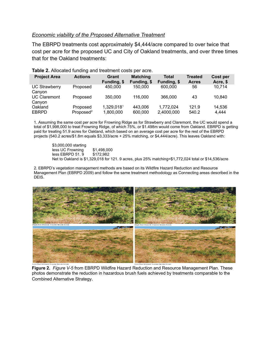#### *Economic viability of the Proposed Alternative Treatment*

The EBRPD treatments cost approximately \$4,444/acre compared to over twice that cost per acre for the proposed UC and City of Oakland treatments, and over three times that for the Oakland treatments:

| <b>Project Area</b>            | <b>Actions</b>                    | Grant<br>Funding, \$    | <b>Matching</b><br>Funding, \$ | <b>Total</b><br>Funding, \$ | <b>Treated</b><br><b>Acres</b> | Cost per<br>Acre, \$ |
|--------------------------------|-----------------------------------|-------------------------|--------------------------------|-----------------------------|--------------------------------|----------------------|
| <b>UC Strawberry</b><br>Canyon | Proposed                          | 450,000                 | 150,000                        | 600,000                     | 56                             | 10,714               |
| <b>UC Claremont</b><br>Canyon  | Proposed                          | 350,000                 | 116,000                        | 366,000                     | 43                             | 10.840               |
| Oakland<br><b>EBRPD</b>        | Proposed<br>Proposed <sup>2</sup> | 1,329,0181<br>1,800,000 | 443,006<br>600,000             | 1,772,024<br>2,4000,000     | 121.9<br>540.2                 | 14,536<br>4,444      |

**Table 2.** Allocated funding and treatment costs per acre.

1. Assuming the same cost per acre for Frowning Ridge as for Strawberry and Claremont, the UC would spend a total of \$1,998,000 to treat Frowning Ridge, of which 75%, or \$1.498m would come from Oakland. EBRPD is getting paid for treating 51.9 acres for Oakland, which based on an average cost per acre for the rest of the EBRPD projects (540.2 acres/\$1.8m equals \$3,333/acre + 25% matching, or \$4,444/acre). This leaves Oakland with:

\$3,000,000 starting less UC Frowning \$1,498,000<br>less EBRPD 51.9 \$172.982  $less$  EBRPD 51,  $9$ Net to Oakland is \$1,329,018 for 121. 9 acres, plus 25% matching=\$1,772,024 total or \$14,536/acre

2. EBRPD's vegetation management methods are based on its Wildfire Hazard Reduction and Resource Management Plan (EBRPD 2009) and follow the same treatment methodology as Connecting areas described in the DEIS.



**Figure 2.** *Figure V-5* from EBRPD Wildfire Hazard Reduction and Resource Management Plan. These photos demonstrate the reduction in hazardous brush fuels achieved by treatments comparable to the Combined Alternative Strategy.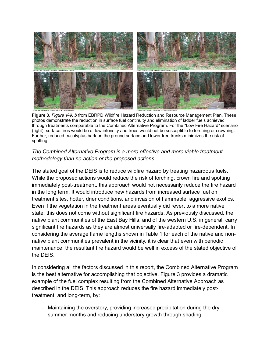

**Figure 3.** *Figure V-9, b* from EBRPD Wildfire Hazard Reduction and Resource Management Plan. These photos demonstrate the reduction in surface fuel continuity and elimination of ladder fuels achieved through treatments comparable to the Combined Alternative Program. For the "Low Fire Hazard" scenario (right), surface fires would be of low intensity and trees would not be susceptible to torching or crowning. Further, reduced eucalyptus bark on the ground surface and lower tree trunks minimizes the risk of spotting.

## *The Combined Alternative Program is a more effective and more viable treatment methodology than no-action or the proposed actions*

The stated goal of the DEIS is to reduce wildfire hazard by treating hazardous fuels. While the proposed actions would reduce the risk of torching, crown fire and spotting immediately post-treatment, this approach would not necessarily reduce the fire hazard in the long term. It would introduce new hazards from increased surface fuel on treatment sites, hotter, drier conditions, and invasion of flammable, aggressive exotics. Even if the vegetation in the treatment areas eventually did revert to a more native state, this does not come without significant fire hazards. As previously discussed, the native plant communities of the East Bay Hills, and of the western U.S. in general, carry significant fire hazards as they are almost universally fire-adapted or fire-dependent. In considering the average flame lengths shown in Table 1 for each of the native and nonnative plant communities prevalent in the vicinity, it is clear that even with periodic maintenance, the resultant fire hazard would be well in excess of the stated objective of the DEIS.

In considering all the factors discussed in this report, the Combined Alternative Program is the best alternative for accomplishing that objective. Figure 3 provides a dramatic example of the fuel complex resulting from the Combined Alternative Approach as described in the DEIS. This approach reduces the fire hazard immediately posttreatment, and long-term, by:

- Maintaining the overstory, providing increased precipitation during the dry summer months and reducing understory growth through shading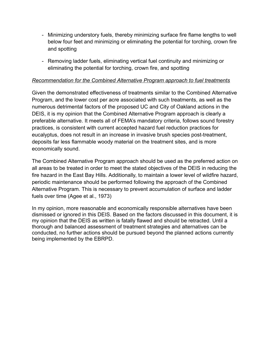- Minimizing understory fuels, thereby minimizing surface fire flame lengths to well below four feet and minimizing or eliminating the potential for torching, crown fire and spotting
- Removing ladder fuels, eliminating vertical fuel continuity and minimizing or eliminating the potential for torching, crown fire, and spotting

#### *Recommendation for the Combined Alternative Program approach to fuel treatments*

Given the demonstrated effectiveness of treatments similar to the Combined Alternative Program, and the lower cost per acre associated with such treatments, as well as the numerous detrimental factors of the proposed UC and City of Oakland actions in the DEIS, it is my opinion that the Combined Alternative Program approach is clearly a preferable alternative. It meets all of FEMA's mandatory criteria, follows sound forestry practices, is consistent with current accepted hazard fuel reduction practices for eucalyptus, does not result in an increase in invasive brush species post-treatment, deposits far less flammable woody material on the treatment sites, and is more economically sound.

The Combined Alternative Program approach should be used as the preferred action on all areas to be treated in order to meet the stated objectives of the DEIS in reducing the fire hazard in the East Bay Hills. Additionally, to maintain a lower level of wildfire hazard, periodic maintenance should be performed following the approach of the Combined Alternative Program. This is necessary to prevent accumulation of surface and ladder fuels over time (Agee et al., 1973)

In my opinion, more reasonable and economically responsible alternatives have been dismissed or ignored in this DEIS. Based on the factors discussed in this document, it is my opinion that the DEIS as written is fatally flawed and should be retracted. Until a thorough and balanced assessment of treatment strategies and alternatives can be conducted, no further actions should be pursued beyond the planned actions currently being implemented by the EBRPD.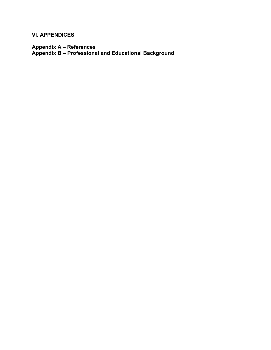**VI. APPENDICES**

**Appendix A – References Appendix B – Professional and Educational Background**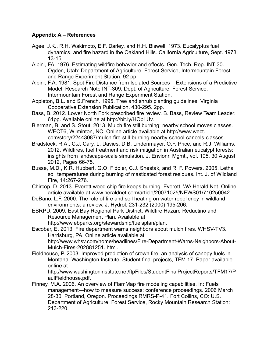## **Appendix A – References**

- Agee, J.K., R.H. Wakimoto, E.F. Darley, and H.H. Biswell. 1973. Eucalyptus fuel dynamics, and fire hazard in the Oakland Hills. California Agriculture, Sept. 1973, 13-15.
- Albini, FA. 1976. Estimating wildfire behavior and effects. Gen. Tech. Rep. INT-30. Ogden, Utah: Department of Agriculture, Forest Service, Intermountain Forest and Range Experiment Station. 92 pp.
- Albini, F.A. 1981. Spot Fire Distance from Isolated Sources Extensions of a Predictive Model. Research Note INT-309, Dept. of Agriculture, Forest Service, Intermountain Forest and Range Experiment Station.
- Appleton, B.L. and S.French. 1995. Tree and shrub planting guidelines. Virginia Cooperative Extension Publication. 430-295. 2pp.
- Bass, B. 2012. Lower North Fork prescribed fire review. B. Bass, Review Team Leader. 61pp. Available online at http://bit.ly/HObLUv.
- Bierman, B. and S. Stout. 2013. Mulch fire still burning; nearby school moves classes. WECT6, Wilminton, NC. Online article available at http://www.wect. com/story/22443087/mulch-fire-still-burning-nearby-school-cancels-classes.
- Bradstock, R.A., C.J. Cary, L. Davies, D.B. Lindenmayer, O.F. Price, and R.J. Williams. 2012. Wildfires, fuel treatment and risk mitigation in Australian eucalypt forests: insights from landscape-scale simulation. J. Envionr. Mgmt., vol. 105, 30 August 2012, Pages 66-75.
- Busse, M.D., K.R. Hubbert, G.O. Fiddler, C.J. Shestak, and R. F. Powers. 2005. Lethal soil temperatures during burning of masticated forest residues. Int. J. of Wildland Fire, 14:267-276.
- Chircop, D. 2013. Everett wood chip fire keeps burning. Everett, WA Herald Net. Online article available at www.heraldnet.com/article/20071025/NEWS01/710250042.
- DeBano, L.F. 2000. The role of fire and soil heating on water repellency in wildland environments: a review. J. Hydrol. 231-232 (2000) 195-206.
- EBRPD, 2009. East Bay Regional Park District, Wildfire Hazard Reductino and Resource Management Plan. Available at

http://www.ebparks.org/stewardship/fuelsplan/plan.

Escobar, E. 2013. Fire department warns neighbors about mulch fires. WHSV-TV3. Harrisburg, PA. Online article available at http://www.whsv.com/home/headlines/Fire-Department-Warns-Neighbors-About-

Mulch-Fires-202881251. html. Fieldhouse, P. 2003. Improved prediction of crown fire: an analysis of canopy fuels in Montana. Washington Institute, Student final projects, TFM 17. Paper available online at

http://www.washingtoninstitute.net/ftpFiles/StudentFinalProjectReports/TFM17/P aulFieldhouse.pdf.

Finney, M.A. 2006. An overview of FlamMap fire modeling capabilities. In: Fuels management—how to measure success: conference proceedings. 2006 March 28-30; Portland, Oregon. Proceedings RMRS-P-41. Fort Collins, CO: U.S. Department of Agriculture, Forest Service, Rocky Mountain Research Station: 213-220.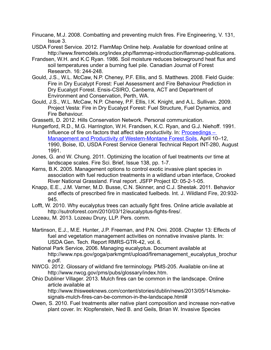Finucane, M.J. 2008. Combatting and preventing mulch fires. Fire Engineering, V. 131, Issue 3.

- USDA Forest Service. 2012. FlamMap Online help. Available for download online at http://www.firemodels.org/index.php/flammap-introduction/flammap-publications.
- Frandsen, W.H. and K.C Ryan. 1986. Soil moisture reduces belowground heat flux and soil temperatures under a burning fuel pile. Canadian Journal of Forest Research. 16: 244-248.
- Gould, J.S., W.L. McCaw, N.P. Cheney, P.F. Ellis, and S. Matthews. 2008. Field Guide: Fire in Dry Eucalypt Forest: Fuel Assessment and Fire Behaviour Prediction in Dry Eucalypt Forest. Ensis-CSIRO, Canberra, ACT and Department of Environment and Conservation, Perth, WA.
- Gould, J.S., W.L. McCaw, N.P. Cheney, P.F. Ellis, I.K. Knight, and A.L. Sullivan. 2009. Project Vesta: Fire in Dry Eucalypt Forest: Fuel Structure, Fuel Dynamics, and Fire Behaviour.
- Grassetti, D. 2012. Hills Conservation Network. Personal communication.
- Hungerford, R.D., M.G. Harrington, W.H. Frandsen, K.C. Ryan, and G.J. Niehoff. 1991. Influence of fire on factors that affect site productivity. In: [Proceedings –](http://forest.moscowfsl.wsu.edu/smp/solo/InfoPath/productivity/bibliography/GTR_INT-280.php) [Management and Productivity of Western-Montane Forest Soils,](http://forest.moscowfsl.wsu.edu/smp/solo/InfoPath/productivity/bibliography/GTR_INT-280.php) April 10–12, 1990, Boise, ID, USDA Forest Service General Technical Report INT-280, August 1991.
- Jones, G. and W. Chung. 2011. Optimizing the location of fuel treatments ovr time at landscape scales. Fire Sci. Brief, Issue 138, pp. 1-7.
- Kerns, B.K. 2005. Management options to control exotic invasive plant species in association with fuel reduction treatments in a wildland urban interface, Crooked River National Grassland. Final report. JSFP Project ID: 05-2-1-05.
- Knapp, E.E., J.M. Varner, M.D. Busse, C.N. Skinner, and C.J. Shestak. 2011. Behavior and effects of prescribed fire in masticated fuelbeds. Int. J. Wildland Fire, 20:932- 945.
- Lofft, W. 2010. Why eucalyptus trees can actually fight fires. Online article available at http://sutroforest.com/2010/03/12/eucalyptus-fights-fires/.
- Lozeau, M. 2013. Lozeau Drury, LLP. Pers. comm.
- Martinson, E.J., M.E. Hunter, J.P. Freeman, and P.N. Omi. 2008. Chapter 13: Effects of fuel and vegetation management activities on nonnative invasive plants. In: USDA Gen. Tech. Report RMRS-GTR-42, vol. 6.
- National Park Service, 2006. Managing eucalyptus. Document available at [http://www.nps.gov/goga/parkmgmt/upload/firemanagement\\_eucalyptus\\_brochur](http://www.nps.gov/goga/parkmgmt/upload/firemanagement_eucalyptus_brochure.pdf) [e.pdf.](http://www.nps.gov/goga/parkmgmt/upload/firemanagement_eucalyptus_brochure.pdf)
- NWCG. 2012. Glossary of wildland fire terminology. PMS-205. Available on-line at [http://www.nwcg.gov/pms/pubs/glossary/index.htm.](http://www.nwcg.gov/pms/pubs/glossary/index.htm)
- Ohio Dubliner Villager. 2013. Mulch fires can be common in the landscape. Online article available at

http://www.thisweeknews.com/content/stories/dublin/news/2013/05/14/smokesignals-mulch-fires-can-be-common-in-the-landscape.html#

Owen, S. 2010. Fuel treatments alter native plant composition and increase non-native plant cover. In: Klopfenstein, Ned B. and Geils, Brian W. Invasive Species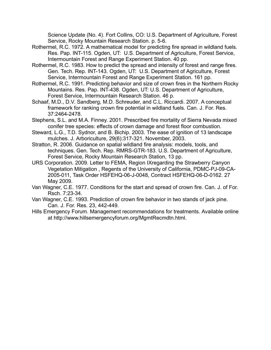Science Update (No. 4). Fort Collins, CO: U.S. Department of Agriculture, Forest Service, Rocky Mountain Research Station. p. 5-6.

- Rothermel, R.C. 1972. A mathematical model for predicting fire spread in wildland fuels. Res. Pap. INT-115. Ogden, UT: U.S. Department of Agriculture, Forest Service, Intermountain Forest and Range Experiment Station. 40 pp.
- Rothermel, R.C. 1983. How to predict the spread and intensity of forest and range fires. Gen. Tech. Rep. INT-143. Ogden, UT: U.S. Department of Agriculture, Forest Service, Intermountain Forest and Range Experiment Station. 161 pp.
- Rothermel, R.C. 1991. Predicting behavior and size of crown fires in the Northern Rocky Mountains. Res. Pap. INT-438. Ogden, UT: U.S. Department of Agriculture, Forest Service, Intermountain Research Station. 46 p.
- Schaaf, M.D., D.V. Sandberg, M.D. Schreuder, and C.L. Riccardi. 2007. A conceptual framework for ranking crown fire potential in wildland fuels. Can. J. For. Res. 37:2464-2478.
- Stephens, S.L. and M.A. Finney. 2001. Prescribed fire mortality of Sierra Nevada mixed conifer tree species: effects of crown damage and forest floor combustion.
- Steward, L.G., T.D. Sydnor, and B. Bichip. 2003. The ease of ignition of 13 landscape mulches. J. Arboriculture, 29(6):317-321. November, 2003.
- Stratton, R. 2006. Guidance on spatial wildland fire analysis: models, tools, and techniques. Gen. Tech. Rep. RMRS-GTR-183. U.S. Department of Agriculture, Forest Service, Rocky Mountain Research Station, 13 pp.
- URS Corporation. 2009. Letter to FEMA, Region IXregarding the Strawberry Canyon Vegetation Mitigation , Regents of the University of California, PDMC-PJ-09-CA-2005-011, Task Order HSFEHQ-06-J-0048, Contract HSFEHQ-06-D-0162. 27 May 2009.
- Van Wagner, C.E. 1977. Conditions for the start and spread of crown fire. Can. J. of For. Rsch. 7:23-34.
- Van Wagner, C.E. 1993. Prediction of crown fire behavior in two stands of jack pine. Can. J. For. Res. 23, 442-449.
- Hills Emergency Forum. Management recommendations for treatments. Available online at http://www.hillsemergencyforum.org/MgmtRecmdtn.html.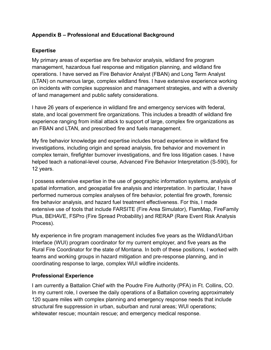## **Appendix B – Professional and Educational Background**

## **Expertise**

My primary areas of expertise are fire behavior analysis, wildland fire program management, hazardous fuel response and mitigation planning, and wildland fire operations. I have served as Fire Behavior Analyst (FBAN) and Long Term Analyst (LTAN) on numerous large, complex wildland fires. I have extensive experience working on incidents with complex suppression and management strategies, and with a diversity of land management and public safety considerations.

I have 26 years of experience in wildland fire and emergency services with federal, state, and local government fire organizations. This includes a breadth of wildland fire experience ranging from initial attack to support of large, complex fire organizations as an FBAN and LTAN, and prescribed fire and fuels management.

My fire behavior knowledge and expertise includes broad experience in wildland fire investigations, including origin and spread analysis, fire behavior and movement in complex terrain, firefighter burnover investigations, and fire loss litigation cases. I have helped teach a national-level course, Advanced Fire Behavior Interpretation (S-590), for 12 years.

I possess extensive expertise in the use of geographic information systems, analysis of spatial information, and geospatial fire analysis and interpretation. In particular, I have performed numerous complex analyses of fire behavior, potential fire growth, forensic fire behavior analysis, and hazard fuel treatment effectiveness. For this, I made extensive use of tools that include FARSITE (Fire Area Simulator), FlamMap, FireFamily Plus, BEHAVE, FSPro (Fire Spread Probability) and RERAP (Rare Event Risk Analysis Process).

My experience in fire program management includes five years as the Wildland/Urban Interface (WUI) program coordinator for my current employer, and five years as the Rural Fire Coordinator for the state of Montana. In both of these positions, I worked with teams and working groups in hazard mitigation and pre-response planning, and in coordinating response to large, complex WUI wildfire incidents.

## **Professional Experience**

I am currently a Battalion Chief with the Poudre Fire Authority (PFA) in Ft. Collins, CO. In my current role, I oversee the daily operations of a Battalion covering approximately 120 square miles with complex planning and emergency response needs that include structural fire suppression in urban, suburban and rural areas; WUI operations; whitewater rescue; mountain rescue; and emergency medical response.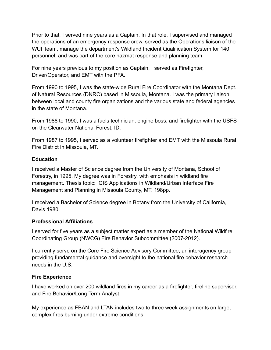Prior to that, I served nine years as a Captain. In that role, I supervised and managed the operations of an emergency response crew, served as the Operations liaison of the WUI Team, manage the department's Wildland Incident Qualification System for 140 personnel, and was part of the core hazmat response and planning team.

For nine years previous to my position as Captain, I served as Firefighter, Driver/Operator, and EMT with the PFA.

From 1990 to 1995, I was the state-wide Rural Fire Coordinator with the Montana Dept. of Natural Resources (DNRC) based in Missoula, Montana. I was the primary liaison between local and county fire organizations and the various state and federal agencies in the state of Montana.

From 1988 to 1990, I was a fuels technician, engine boss, and firefighter with the USFS on the Clearwater National Forest, ID.

From 1987 to 1995, I served as a volunteer firefighter and EMT with the Missoula Rural Fire District in Missoula, MT.

#### **Education**

I received a Master of Science degree from the University of Montana, School of Forestry, in 1995. My degree was in Forestry, with emphasis in wildland fire management. Thesis topic: GIS Applications in Wildland/Urban Interface Fire Management and Planning in Missoula County, MT. 198pp.

I received a Bachelor of Science degree in Botany from the University of California, Davis 1980.

#### **Professional Affiliations**

I served for five years as a subject matter expert as a member of the National Wildfire Coordinating Group (NWCG) Fire Behavior Subcommittee (2007-2012).

I currently serve on the Core Fire Science Advisory Committee, an interagency group providing fundamental guidance and oversight to the national fire behavior research needs in the U.S.

## **Fire Experience**

I have worked on over 200 wildland fires in my career as a firefighter, fireline supervisor, and Fire Behavior/Long Term Analyst.

My experience as FBAN and LTAN includes two to three week assignments on large, complex fires burning under extreme conditions: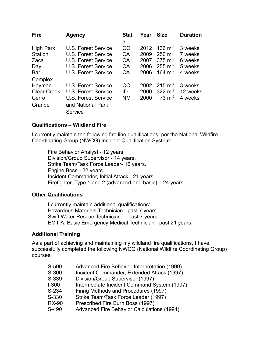| <b>Fire</b>        | <b>Agency</b>       | <b>Stat</b> | Year | <b>Size</b>         | <b>Duration</b> |
|--------------------|---------------------|-------------|------|---------------------|-----------------|
|                    |                     | е           |      |                     |                 |
| <b>High Park</b>   | U.S. Forest Service | CO          | 2012 | 136 $\text{mi}^2$   | 3 weeks         |
| <b>Station</b>     | U.S. Forest Service | CA          | 2009 | $250 \text{ mi}^2$  | 7 weeks         |
| Zaca               | U.S. Forest Service | CA          | 2007 | $375 \text{ mi}^2$  | 6 weeks         |
| Day                | U.S. Forest Service | CA          | 2006 | $255 \text{ mi}^2$  | 5 weeks         |
| Bar                | U.S. Forest Service | CA          | 2006 | 164 mi <sup>2</sup> | 4 weeks         |
| Complex            |                     |             |      |                     |                 |
| Hayman             | U.S. Forest Service | CO          | 2002 | $215 \text{ mi}^2$  | 3 weeks         |
| <b>Clear Creek</b> | U.S. Forest Service | ID          | 2000 | 322 $mi^2$          | 12 weeks        |
| Cerro              | U.S. Forest Service | <b>NM</b>   | 2000 | $73 \text{ mi}^2$   | 4 weeks         |
| Grande             | and National Park   |             |      |                     |                 |
|                    | Service             |             |      |                     |                 |

#### **Qualifications – Wildland Fire**

I currently maintain the following fire line qualifications, per the National Wildfire Coordinating Group (NWCG) Incident Qualification System:

Fire Behavior Analyst - 12 years. Division/Group Supervisor - 14 years. Strike Team/Task Force Leader- 16 years. Engine Boss - 22 years. Incident Commander, Initial Attack - 21 years. Firefighter, Type 1 and 2 (advanced and basic) – 24 years.

#### **Other Qualifications**

I currently maintain additional qualifications: Hazardous Materials Technician - past 7 years. Swift Water Rescue Technician I - past 7 years. EMT-A, Basic Emergency Medical Technician - past 21 years.

#### **Additional Training**

As a part of achieving and maintaining my wildland fire qualifications, I have successfully completed the following NWCG (National Wildfire Coordinating Group) courses:

| S-590        | Advanced Fire Behavior Interpretation (1999)      |
|--------------|---------------------------------------------------|
| S-300        | Incident Commander, Extended Attack (1997)        |
| S-339        | Division/Group Supervisor (1997)                  |
| <b>I-300</b> | Intermediate Incident Command System (1997)       |
| S-234        | Firing Methods and Procedures (1997)              |
| S-330        | Strike Team/Task Force Leader (1997)              |
| <b>RX-90</b> | Prescribed Fire Burn Boss (1997)                  |
| S-490        | <b>Advanced Fire Behavior Calculations (1994)</b> |
|              |                                                   |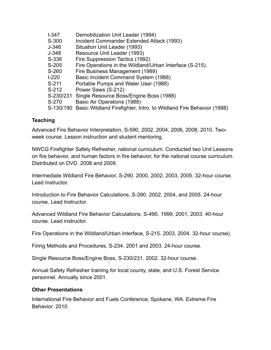| $I-347$   | Demobilization Unit Leader (1994)                                             |
|-----------|-------------------------------------------------------------------------------|
| S-300     | Incident Commander Extended Attack (1993)                                     |
| J-346     | Situation Unit Leader (1993)                                                  |
| J-348     | Resource Unit Leader (1993)                                                   |
| S-336     | Fire Suppression Tactics (1992)                                               |
| S-205     | Fire Operations in the Wildland/Urban Interface (S-215)                       |
| S-260     | Fire Business Management (1989)                                               |
| $1-220$   | Basic Incident Command System (1988)                                          |
| S-211     | Portable Pumps and Water User (1988)                                          |
| S-212     | Power Saws (S-212)                                                            |
| S-230/231 | Single Resource Boss/Engine Boss (1988)                                       |
| S-270     | Basic Air Operations (1988)                                                   |
|           | S-130/190 Basic Wildland Firefighter, Intro. to Wildland Fire Behavior (1988) |
|           |                                                                               |

## **Teaching**

Advanced Fire Behavior Interpretation, S-590. 2002, 2004, 2006, 2008, 2010. Twoweek course. Lesson instruction and student mentoring.

NWCG Firefighter Safety Refresher, national curriculum. Conducted two Unit Lessons on fire behavior, and human factors in fire behavior, for the national course curriculum. Distributed on DVD. 2008 and 2009.

Intermediate Wildland Fire Behavior, S-290. 2000, 2002, 2003, 2005. 32-hour course. Lead Instructor.

Introduction to Fire Behavior Calculations, S-390. 2002, 2004, and 2005. 24-hour course. Lead Instructor.

Advanced Wildland Fire Behavior Calculations, S-490. 1999, 2001, 2003. 40-hour course. Lead instructor.

Fire Operations in the Wildland/Urban Interface, S-215. 2003, 2004. 32-hour course).

Firing Methods and Procedures, S-234. 2001 and 2003. 24-hour course.

Single Resource Boss/Engine Boss, S-230/231. 2002. 32-hour course.

Annual Safety Refresher training for local county, state, and U.S. Forest Service personnel. Annually since 2001.

#### **Other Presentations**

International Fire Behavior and Fuels Conference; Spokane, WA. Extreme Fire Behavior. 2010.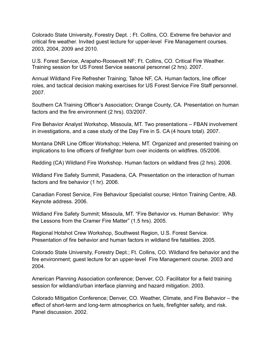Colorado State University, Forestry Dept. ; Ft. Collins, CO. Extreme fire behavior and critical fire weather. Invited guest lecture for upper-level Fire Management courses. 2003, 2004, 2009 and 2010.

U.S. Forest Service, Arapaho-Roosevelt NF; Ft. Collins, CO. Critical Fire Weather. Training session for US Forest Service seasonal personnel (2 hrs). 2007.

Annual Wildland Fire Refresher Training; Tahoe NF, CA. Human factors, line officer roles, and tactical decision making exercises for US Forest Service Fire Staff personnel. 2007.

Southern CA Training Officer's Association; Orange County, CA. Presentation on human factors and the fire environment (2 hrs). 03/2007.

Fire Behavior Analyst Workshop, Missoula, MT. Two presentations – FBAN involvement in investigations, and a case study of the Day Fire in S. CA (4 hours total). 2007.

Montana DNR Line Officer Workshop; Helena, MT. Organized and presented training on implications to line officers of firefighter burn over incidents on wildfires. 05/2006.

Redding (CA) Wildland Fire Workshop. Human factors on wildland fires (2 hrs). 2006.

Wildland Fire Safety Summit, Pasadena, CA. Presentation on the interaction of human factors and fire behavior (1 hr). 2006.

Canadian Forest Service, Fire Behaviour Specialist course; Hinton Training Centre, AB. Keynote address. 2006.

Wildland Fire Safety Summit; Missoula, MT. "Fire Behavior vs. Human Behavior: Why the Lessons from the Cramer Fire Matter" (1.5 hrs). 2005.

Regional Hotshot Crew Workshop, Southwest Region, U.S. Forest Service. Presentation of fire behavior and human factors in wildland fire fatalities. 2005.

Colorado State University, Forestry Dept.; Ft. Collins, CO. Wildland fire behavior and the fire environment; guest lecture for an upper-level Fire Management course. 2003 and 2004.

American Planning Association conference; Denver, CO. Facilitator for a field training session for wildland/urban interface planning and hazard mitigation. 2003.

Colorado Mitigation Conference; Denver, CO. Weather, Climate, and Fire Behavior – the effect of short-term and long-term atmospherics on fuels, firefighter safety, and risk. Panel discussion. 2002.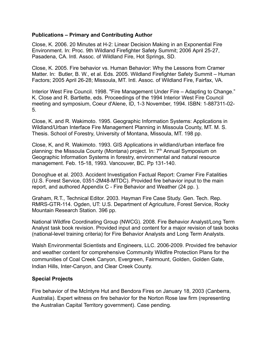#### **Publications – Primary and Contributing Author**

Close, K. 2006. 20 Minutes at H-2: Linear Decision Making in an Exponential Fire Environment. In: Proc. 9th Wildland Firefighter Safety Summit; 2006 April 25-27, Pasadena, CA. Intl. Assoc. of Wildland Fire, Hot Springs, SD.

Close, K. 2005. Fire behavior vs. Human Behavior: Why the Lessons from Cramer Matter. In: Butler, B. W., et al. Eds. 2005. Wildland Firefighter Safety Summit – Human Factors; 2005 April 26-28; Missoula, MT. Intl. Assoc. of Wildland Fire, Fairfax, VA.

Interior West Fire Council. 1998. "Fire Management Under Fire – Adapting to Change." K. Close and R. Bartlette, eds. Proceedings of the 1994 Interior West Fire Council meeting and symposium, Coeur d'Alene, ID, 1-3 November, 1994. ISBN: 1-887311-02- 5.

Close, K. and R. Wakimoto. 1995. Geographic Information Systems: Applications in Wildland/Urban Interface Fire Management Planning in Missoula County, MT. M. S. Thesis. School of Forestry, University of Montana, Missoula, MT. 198 pp.

Close, K, and R. Wakimoto. 1993. GIS Applications in wildland/urban interface fire planning: the Missoula County (Montana) project. In: 7<sup>th</sup> Annual Symposium on Geographic Information Systems in forestry, environmental and natural resource management. Feb. 15-18, 1993. Vancouver, BC. Pp 131-140.

Donoghue et al. 2003. Accident Investigation Factual Report: Cramer Fire Fatalities (U.S. Forest Service, 0351-2M48-MTDC). Provided fire behavior input to the main report, and authored Appendix C - Fire Behavior and Weather (24 pp. ).

Graham, R.T., Technical Editor. 2003. Hayman Fire Case Study. Gen. Tech. Rep. RMRS-GTR-114. Ogden, UT: U.S. Department of Agriculture, Forest Service, Rocky Mountain Research Station. 396 pp.

National Wildfire Coordinating Group (NWCG). 2008. Fire Behavior Analyst/Long Term Analyst task book revision. Provided input and content for a major revision of task books (national-level training criteria) for Fire Behavior Analysts and Long Term Analysts.

Walsh Environmental Scientists and Engineers, LLC. 2006-2009. Provided fire behavior and weather content for comprehensive Community Wildfire Protection Plans for the communities of Coal Creek Canyon, Evergreen, Fairmount, Golden, Golden Gate, Indian Hills, Inter-Canyon, and Clear Creek County.

## **Special Projects**

Fire behavior of the McIntyre Hut and Bendora Fires on January 18, 2003 (Canberra, Australia). Expert witness on fire behavior for the Norton Rose law firm (representing the Australian Capital Territory government). Case pending.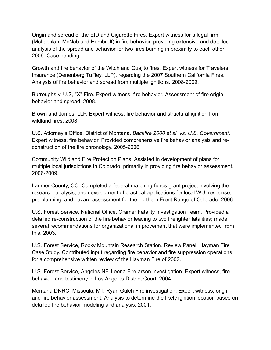Origin and spread of the EID and Cigarette Fires. Expert witness for a legal firm (McLachlan, McNab and Hembroff) in fire behavior, providing extensive and detailed analysis of the spread and behavior for two fires burning in proximity to each other. 2009. Case pending.

Growth and fire behavior of the Witch and Guajito fires. Expert witness for Travelers Insurance (Denenberg Tuffley, LLP), regarding the 2007 Southern California Fires. Analysis of fire behavior and spread from multiple ignitions. 2008-2009.

Burroughs v. U.S, "X" Fire. Expert witness, fire behavior. Assessment of fire origin, behavior and spread. 2008.

Brown and James, LLP. Expert witness, fire behavior and structural ignition from wildland fires. 2008.

U.S. Attorney's Office, District of Montana. *Backfire 2000 et al. vs. U.S. Government.* Expert witness, fire behavior. Provided comprehensive fire behavior analysis and reconstruction of the fire chronology. 2005-2006.

Community Wildland Fire Protection Plans. Assisted in development of plans for multiple local jurisdictions in Colorado, primarily in providing fire behavior assessment. 2006-2009.

Larimer County, CO. Completed a federal matching-funds grant project involving the research, analysis, and development of practical applications for local WUI response, pre-planning, and hazard assessment for the northern Front Range of Colorado. 2006.

U.S. Forest Service, National Office. Cramer Fatality Investigation Team. Provided a detailed re-construction of the fire behavior leading to two firefighter fatalities; made several recommendations for organizational improvement that were implemented from this. 2003.

U.S. Forest Service, Rocky Mountain Research Station. Review Panel, Hayman Fire Case Study. Contributed input regarding fire behavior and fire suppression operations for a comprehensive written review of the Hayman Fire of 2002.

U.S. Forest Service, Angeles NF. Leona Fire arson investigation. Expert witness, fire behavior, and testimony in Los Angeles District Court. 2004.

Montana DNRC. Missoula, MT. Ryan Gulch Fire investigation. Expert witness, origin and fire behavior assessment. Analysis to determine the likely ignition location based on detailed fire behavior modeling and analysis. 2001.